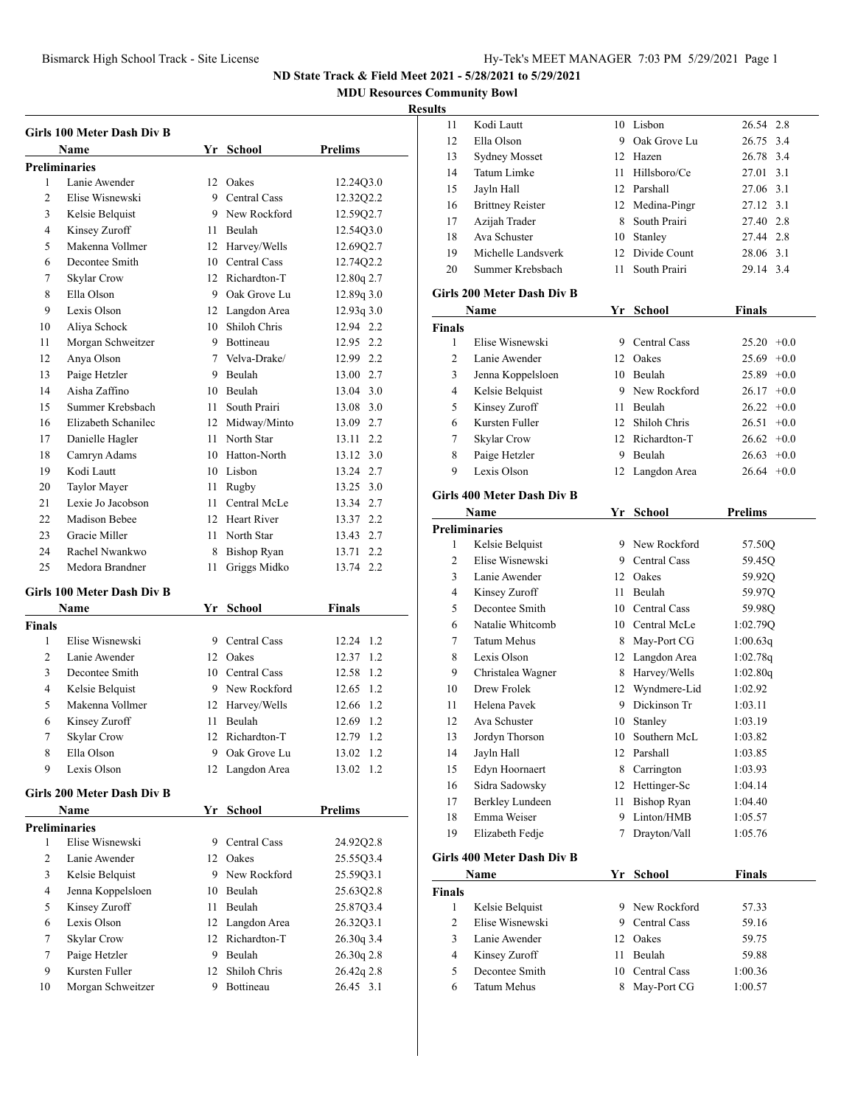**MDU Resources Community Bowl**

## **Res**

|                | Girls 100 Meter Dash Div B        |    |                    |              |
|----------------|-----------------------------------|----|--------------------|--------------|
|                | Name                              |    | Yr School          | Prelims      |
|                | <b>Preliminaries</b>              |    |                    |              |
| 1              | Lanie Awender                     |    | 12 Oakes           | 12.24Q3.0    |
| 2              | Elise Wisnewski                   |    | 9 Central Cass     | 12.32Q2.2    |
| 3              | Kelsie Belquist                   |    | 9 New Rockford     | 12.59Q2.7    |
| 4              | Kinsey Zuroff                     |    | 11 Beulah          | 12.54Q3.0    |
| 5              | Makenna Vollmer                   |    | 12 Harvey/Wells    | 12.69Q2.7    |
| 6              | Decontee Smith                    |    | 10 Central Cass    | 12.74Q2.2    |
| 7              | <b>Skylar Crow</b>                |    | 12 Richardton-T    | 12.80q 2.7   |
| 8              | Ella Olson                        |    | 9 Oak Grove Lu     | 12.89q 3.0   |
| 9              | Lexis Olson                       |    | 12 Langdon Area    | 12.93q3.0    |
| 10             | Aliya Schock                      |    | 10 Shiloh Chris    | 12.94 2.2    |
| 11             | Morgan Schweitzer                 |    | 9 Bottineau        | 12.95 2.2    |
| 12             | Anya Olson                        |    | 7 Velva-Drake/     | 12.99 2.2    |
| 13             | Paige Hetzler                     |    | 9 Beulah           | 13.00 2.7    |
| 14             | Aisha Zaffino                     |    | 10 Beulah          | 13.04 3.0    |
| 15             | Summer Krebsbach                  |    | 11 South Prairi    | 13.08 3.0    |
| 16             | Elizabeth Schanilec               |    | 12 Midway/Minto    | 13.09 2.7    |
| 17             | Danielle Hagler                   |    | 11 North Star      | 2.2<br>13.11 |
| 18             | Camryn Adams                      |    | 10 Hatton-North    | 13.12 3.0    |
| 19             | Kodi Lautt                        |    | 10 Lisbon          | 13.24 2.7    |
| 20             | Taylor Mayer                      |    | 11 Rugby           | 13.25 3.0    |
| 21             | Lexie Jo Jacobson                 |    | 11 Central McLe    | 13.34 2.7    |
| 22             | Madison Bebee                     |    | 12 Heart River     | 13.37 2.2    |
| 23             | Gracie Miller                     |    | 11 North Star      | 13.43 2.7    |
| 24             | Rachel Nwankwo                    | 8  | <b>Bishop Ryan</b> | 2.2<br>13.71 |
| 25             | Medora Brandner                   | 11 | Griggs Midko       | 13.74 2.2    |
|                |                                   |    |                    |              |
|                | <b>Girls 100 Meter Dash Div B</b> |    |                    |              |
|                | Name                              |    | Yr School          | Finals       |
| Finals         |                                   |    |                    |              |
| 1              | Elise Wisnewski                   |    | 9 Central Cass     | 12.24 1.2    |
| 2              | Lanie Awender                     |    | 12 Oakes           | 12.37 1.2    |
| 3              | Decontee Smith                    |    | 10 Central Cass    | 1.2<br>12.58 |
| $\overline{4}$ | Kelsie Belquist                   |    | 9 New Rockford     | 1.2<br>12.65 |
| 5              | Makenna Vollmer                   |    | 12 Harvey/Wells    | 1.2<br>12.66 |
| 6              | Kinsey Zuroff                     |    | 11 Beulah          | 12.69 1.2    |
| 7              | Skylar Crow                       |    | 12 Richardton-T    | 12.79 1.2    |
| 8              | Ella Olson                        | 9  | Oak Grove Lu       | 1.2<br>13.02 |
| 9              | Lexis Olson                       | 12 | Langdon Area       | 13.02<br>1.2 |
|                | Girls 200 Meter Dash Div B        |    |                    |              |
|                | Name                              |    | Yr School          | Prelims      |
|                | Preliminaries                     |    |                    |              |
| 1              | Elise Wisnewski                   |    | 9 Central Cass     | 24.92Q2.8    |
| $\overline{2}$ | Lanie Awender                     |    | 12 Oakes           | 25.55Q3.4    |
| 3              | Kelsie Belquist                   |    | 9 New Rockford     | 25.59Q3.1    |
| 4              | Jenna Koppelsloen                 |    | 10 Beulah          | 25.63Q2.8    |
| 5              | Kinsey Zuroff                     | 11 | Beulah             | 25.87Q3.4    |
| 6              | Lexis Olson                       | 12 | Langdon Area       | 26.32Q3.1    |
| $\tau$         | Skylar Crow                       |    | 12 Richardton-T    | 26.30q 3.4   |
|                |                                   |    |                    |              |

 Paige Hetzler 9 Beulah 26.30q 2.8 Kursten Fuller 12 Shiloh Chris 26.42q 2.8 Morgan Schweitzer 9 Bottineau 26.45 3.1

| ults           |                                   |      |                    |                 |
|----------------|-----------------------------------|------|--------------------|-----------------|
| 11             | Kodi Lautt                        |      | 10 Lisbon          | 26.54 2.8       |
| 12             | Ella Olson                        |      | 9 Oak Grove Lu     | 26.75 3.4       |
| 13             | <b>Sydney Mosset</b>              |      | 12 Hazen           | 26.78 3.4       |
| 14             | Tatum Limke                       |      | 11 Hillsboro/Ce    | 3.1<br>27.01    |
| 15             | Jayln Hall                        |      | 12 Parshall        | 27.06 3.1       |
| 16             | <b>Brittney Reister</b>           |      | 12 Medina-Pingr    | 27.12 3.1       |
| 17             | Azijah Trader                     |      | 8 South Prairi     | 27.40 2.8       |
| 18             | Ava Schuster                      |      | 10 Stanley         | 27.44 2.8       |
| 19             | Michelle Landsverk                |      | 12 Divide Count    | 28.06 3.1       |
| 20             | Summer Krebsbach                  | 11   | South Prairi       | 29.14 3.4       |
|                | <b>Girls 200 Meter Dash Div B</b> |      |                    |                 |
|                | Name                              |      | Yr School          | <b>Finals</b>   |
| <b>Finals</b>  |                                   |      |                    |                 |
| 1              | Elise Wisnewski                   |      | 9 Central Cass     | $+0.0$<br>25.20 |
| $\overline{2}$ | Lanie Awender                     |      | 12 Oakes           | $25.69 +0.0$    |
| 3              | Jenna Koppelsloen                 |      | 10 Beulah          | $25.89 +0.0$    |
| 4              | Kelsie Belquist                   |      | 9 New Rockford     | $26.17 +0.0$    |
| 5              | Kinsey Zuroff                     |      | 11 Beulah          | $26.22 +0.0$    |
| 6              | Kursten Fuller                    |      | 12 Shiloh Chris    | 26.51<br>$+0.0$ |
| 7              | Skylar Crow                       |      | 12 Richardton-T    | $26.62 +0.0$    |
| 8              | Paige Hetzler                     |      | 9 Beulah           | $26.63 + 0.0$   |
| 9              | Lexis Olson                       |      | 12 Langdon Area    | $26.64 + 0.0$   |
|                |                                   |      |                    |                 |
|                | Girls 400 Meter Dash Div B        |      |                    |                 |
|                | Name                              |      | Yr School          | <b>Prelims</b>  |
|                | <b>Preliminaries</b>              |      |                    |                 |
| 1              | Kelsie Belquist                   |      | 9 New Rockford     | 57.50Q          |
| 2              | Elise Wisnewski                   |      | 9 Central Cass     | 59.45Q          |
| 3              | Lanie Awender                     |      | 12 Oakes           | 59.92Q          |
| 4              | Kinsey Zuroff                     |      | 11 Beulah          | 59.97Q          |
| 5              | Decontee Smith                    |      | 10 Central Cass    | 59.98Q          |
| 6              | Natalie Whitcomb                  |      | 10 Central McLe    | 1:02.79Q        |
| 7              | <b>Tatum Mehus</b>                |      | 8 May-Port CG      | 1:00.63q        |
| 8              | Lexis Olson                       |      | 12 Langdon Area    | 1:02.78q        |
| 9              | Christalea Wagner                 |      | 8 Harvey/Wells     | 1:02.80q        |
| 10             | Drew Frolek                       | 12   | Wyndmere-Lid       | 1:02.92         |
| 11             | Helena Pavek                      | 9    | Dickinson Tr       | 1:03.11         |
| 12             | Ava Schuster                      | 10   | Stanley            | 1:03.19         |
| 13             | Jordyn Thorson                    | 10   | Southern McL       | 1:03.82         |
| 14             | Jayln Hall                        | 12   | Parshall           | 1:03.85         |
| 15             | Edyn Hoornaert                    | 8    | Carrington         | 1:03.93         |
| 16             | Sidra Sadowsky                    |      | 12 Hettinger-Sc    | 1:04.14         |
| 17             | <b>Berkley Lundeen</b>            | 11   | <b>Bishop Ryan</b> | 1:04.40         |
| 18             | Emma Weiser                       | 9    | Linton/HMB         | 1:05.57         |
| 19             | Elizabeth Fedje                   | 7    | Drayton/Vall       | 1:05.76         |
|                | Girls 400 Meter Dash Div B        |      |                    |                 |
|                | Name                              |      | Yr School          | Finals          |
| <b>Finals</b>  |                                   |      |                    |                 |
| $\mathbf{1}$   | Kelsie Belquist                   |      | 9 New Rockford     | 57.33           |
| 2              | Elise Wisnewski                   | 9    | Central Cass       | 59.16           |
| 3              | Lanie Awender                     | 12   | Oakes              | 59.75           |
| 4              | Kinsey Zuroff                     | 11 - | Beulah             | 59.88           |
| 5              | Decontee Smith                    | 10   | Central Cass       | 1:00.36         |
| 6              | Tatum Mehus                       | 8    | May-Port CG        | 1:00.57         |
|                |                                   |      |                    |                 |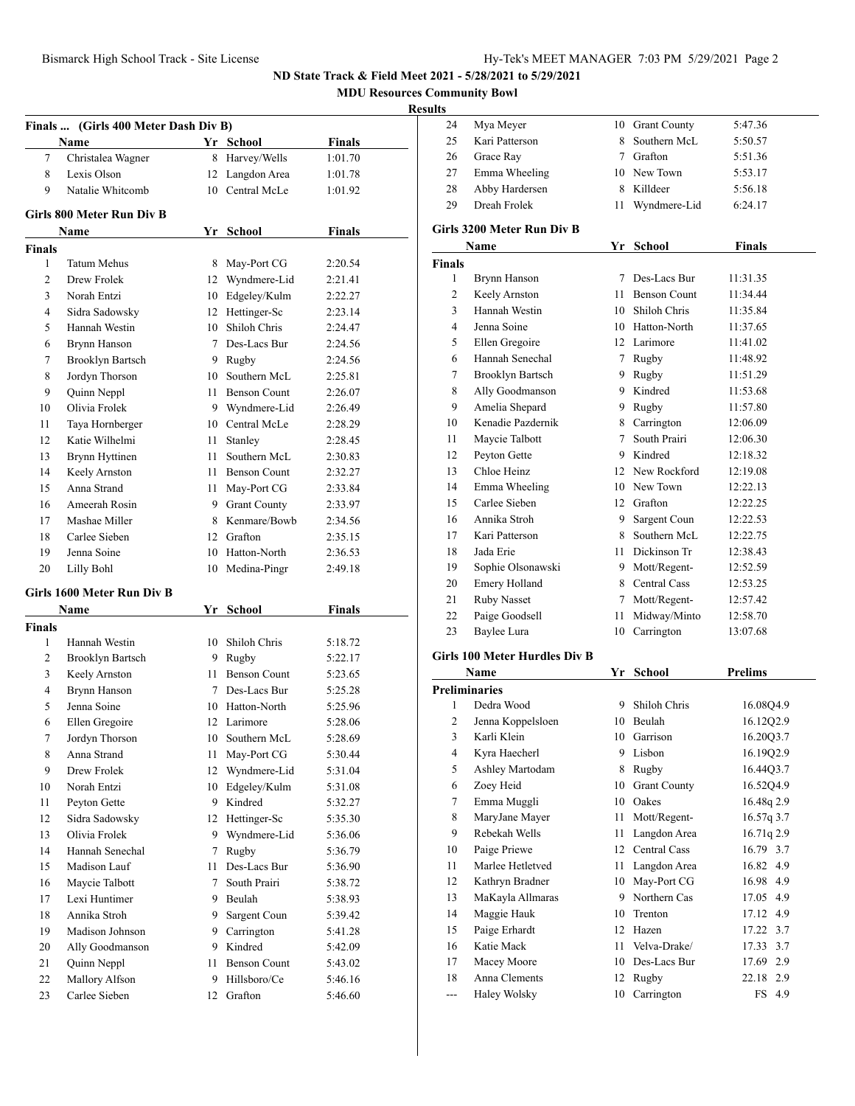**MDU Resources Community Bowl**

# $\frac{\text{Results}}{24}$

|                | Finals  (Girls 400 Meter Dash Div B) |      |                     |               |
|----------------|--------------------------------------|------|---------------------|---------------|
|                | Name                                 |      | Yr School           | <b>Finals</b> |
| 7              | Christalea Wagner                    | 8    | Harvey/Wells        | 1:01.70       |
| 8              | Lexis Olson                          |      | 12 Langdon Area     | 1:01.78       |
| 9              | Natalie Whitcomb                     |      | 10 Central McLe     | 1:01.92       |
|                | Girls 800 Meter Run Div B            |      |                     |               |
|                | Name                                 |      | Yr School           | <b>Finals</b> |
| Finals         |                                      |      |                     |               |
| 1              | Tatum Mehus                          | 8.   | May-Port CG         | 2:20.54       |
| $\overline{c}$ | Drew Frolek                          |      | 12 Wyndmere-Lid     | 2:21.41       |
| 3              | Norah Entzi                          |      | 10 Edgeley/Kulm     | 2:22.27       |
| 4              | Sidra Sadowsky                       |      | 12 Hettinger-Sc     | 2:23.14       |
| 5              | Hannah Westin                        |      | 10 Shiloh Chris     | 2:24.47       |
| 6              | Brynn Hanson                         |      | 7 Des-Lacs Bur      | 2:24.56       |
| 7              | <b>Brooklyn Bartsch</b>              |      | 9 Rugby             | 2:24.56       |
| 8              | Jordyn Thorson                       |      | 10 Southern McL     | 2:25.81       |
| 9              | Quinn Neppl                          |      | 11 Benson Count     | 2:26.07       |
| 10             | Olivia Frolek                        |      | 9 Wyndmere-Lid      | 2:26.49       |
| 11             | Taya Hornberger                      |      | 10 Central McLe     | 2:28.29       |
| 12             | Katie Wilhelmi                       |      | 11 Stanley          | 2:28.45       |
| 13             | Brynn Hyttinen                       | 11 - | Southern McL        | 2:30.83       |
| 14             | Keely Arnston                        |      | 11 Benson Count     | 2:32.27       |
| 15             | Anna Strand                          |      | 11 May-Port CG      | 2:33.84       |
| 16             | Ameerah Rosin                        |      | 9 Grant County      | 2:33.97       |
| 17             | Mashae Miller                        |      | 8 Kenmare/Bowb      | 2:34.56       |
| 18             | Carlee Sieben                        |      | 12 Grafton          | 2:35.15       |
| 19             | Jenna Soine                          |      | 10 Hatton-North     | 2:36.53       |
| 20             | Lilly Bohl                           | 10   | Medina-Pingr        | 2:49.18       |
|                |                                      |      |                     |               |
|                | Girls 1600 Meter Run Div B           |      |                     |               |
|                | <b>Name</b>                          | Yr   | School              | <b>Finals</b> |
| <b>Finals</b>  |                                      |      |                     |               |
| 1              | Hannah Westin                        | 10   | Shiloh Chris        | 5:18.72       |
| 2              | Brooklyn Bartsch                     |      | 9 Rugby             | 5:22.17       |
| 3              | Keely Arnston                        |      | 11 Benson Count     | 5:23.65       |
| 4              | Brynn Hanson                         |      | 7 Des-Lacs Bur      | 5:25.28       |
| 5              | Jenna Soine                          |      | 10 Hatton-North     | 5:25.96       |
| 6              | Ellen Gregoire                       |      | 12 Larimore         | 5:28.06       |
| 7              | Jordyn Thorson                       | 10   | Southern McL        | 5:28.69       |
| 8              | Anna Strand                          | 11   | May-Port CG         | 5:30.44       |
| 9              | Drew Frolek                          | 12   | Wyndmere-Lid        | 5:31.04       |
| 10             | Norah Entzi                          | 10   | Edgeley/Kulm        | 5:31.08       |
| 11             | Peyton Gette                         | 9.   | Kindred             | 5:32.27       |
| 12             | Sidra Sadowsky                       |      | 12 Hettinger-Sc     | 5:35.30       |
| 13             | Olivia Frolek                        | 9    | Wyndmere-Lid        | 5:36.06       |
| 14             | Hannah Senechal                      | 7    | Rugby               | 5:36.79       |
| 15             | Madison Lauf                         | 11   | Des-Lacs Bur        | 5:36.90       |
| 16             | Maycie Talbott                       | 7    | South Prairi        | 5:38.72       |
| 17             | Lexi Huntimer                        |      | 9 Beulah            | 5:38.93       |
| 18             | Annika Stroh                         | 9.   | Sargent Coun        | 5:39.42       |
| 19             | Madison Johnson                      | 9.   | Carrington          | 5:41.28       |
| 20             | Ally Goodmanson                      | 9    | Kindred             | 5:42.09       |
| 21             | Quinn Neppl                          | 11   | <b>Benson Count</b> | 5:43.02       |
| 22             | Mallory Alfson                       | 9    | Hillsboro/Ce        | 5:46.16       |
| 23             | Carlee Sieben                        |      | 12 Grafton          | 5:46.60       |

| 24                   | Mya Meyer                            |                 | 10 Grant County      | 5:47.36        |
|----------------------|--------------------------------------|-----------------|----------------------|----------------|
| 25                   | Kari Patterson                       | 8               | Southern McL         | 5:50.57        |
| 26                   | Grace Rav                            |                 | 7 Grafton            | 5:51.36        |
| 27                   | Emma Wheeling                        |                 | 10 New Town          | 5:53.17        |
| 28                   | Abby Hardersen                       |                 | 8 Killdeer           | 5:56.18        |
| 29                   | Dreah Frolek                         | 11              | Wyndmere-Lid         | 6:24.17        |
|                      | Girls 3200 Meter Run Div B           |                 |                      |                |
|                      | Name                                 |                 | Yr School            | <b>Finals</b>  |
| <b>Finals</b>        |                                      |                 |                      |                |
| 1                    | Brynn Hanson                         |                 | 7 Des-Lacs Bur       | 11:31.35       |
| 2                    | Keely Arnston                        |                 | 11 Benson Count      | 11:34.44       |
| 3                    | Hannah Westin                        |                 | 10 Shiloh Chris      | 11:35.84       |
| 4                    | Jenna Soine                          |                 | 10 Hatton-North      | 11:37.65       |
| 5                    | Ellen Gregoire                       |                 | 12 Larimore          | 11:41.02       |
| 6                    | Hannah Senechal                      |                 | 7 Rugby              | 11:48.92       |
| 7                    | <b>Brooklyn Bartsch</b>              |                 |                      | 11:51.29       |
| 8                    |                                      |                 | 9 Rugby<br>9 Kindred | 11:53.68       |
|                      | Ally Goodmanson<br>Amelia Shepard    |                 | 9 Rugby              | 11:57.80       |
| 9                    |                                      |                 |                      |                |
| 10                   | Kenadie Pazdernik                    |                 | 8 Carrington         | 12:06.09       |
| 11                   | Maycie Talbott                       | $7\overline{ }$ | South Prairi         | 12:06.30       |
| 12                   | Peyton Gette                         |                 | 9 Kindred            | 12:18.32       |
| 13                   | Chloe Heinz                          |                 | 12 New Rockford      | 12:19.08       |
| 14                   | Emma Wheeling                        |                 | 10 New Town          | 12:22.13       |
| 15                   | Carlee Sieben                        |                 | 12 Grafton           | 12:22.25       |
| 16                   | Annika Stroh                         | 9.              | Sargent Coun         | 12:22.53       |
| 17                   | Kari Patterson                       |                 | 8 Southern McL       | 12:22.75       |
| 18                   | Jada Erie                            |                 | 11 Dickinson Tr      | 12:38.43       |
| 19                   | Sophie Olsonawski                    |                 | 9 Mott/Regent-       | 12:52.59       |
| 20                   | Emery Holland                        |                 | 8 Central Cass       | 12:53.25       |
| 21                   | Ruby Nasset                          |                 | 7 Mott/Regent-       | 12:57.42       |
| 22                   | Paige Goodsell                       | 11              | Midway/Minto         | 12:58.70       |
| 23                   | Baylee Lura                          | 10              | Carrington           | 13:07.68       |
|                      | <b>Girls 100 Meter Hurdles Div B</b> |                 |                      |                |
|                      | Name                                 | Yr              | <b>School</b>        | <b>Prelims</b> |
| <b>Preliminaries</b> |                                      |                 |                      |                |
| 1                    | Dedra Wood                           | 9.              | Shiloh Chris         | 16.08Q4.9      |
| 2                    | Jenna Koppelsloen                    |                 | 10 Beulah            | 16.12Q2.9      |
| 3                    | Karli Klein                          |                 | 10 Garrison          | 16.20Q3.7      |
| 4                    | Kyra Haecherl                        | 9               | Lisbon               | 16.19Q2.9      |
| 5                    | Ashley Martodam                      | 8               | Rugby                | 16.44Q3.7      |
| 6                    | Zoey Heid                            | 10              | <b>Grant County</b>  | 16.52Q4.9      |
| 7                    | Emma Muggli                          |                 | 10 Oakes             | 16.48q 2.9     |
| 8                    | MaryJane Mayer                       | 11              | Mott/Regent-         | 16.57q 3.7     |
| 9                    | Rebekah Wells                        | 11              | Langdon Area         | 16.71q 2.9     |
| 10                   | Paige Priewe                         |                 | 12 Central Cass      | 16.79 3.7      |
| 11                   | Marlee Hetletved                     | 11              | Langdon Area         | 16.82 4.9      |
| 12                   | Kathryn Bradner                      | 10              | May-Port CG          | 16.98 4.9      |
| 13                   | MaKayla Allmaras                     | 9.              | Northern Cas         | 17.05 4.9      |
| 14                   | Maggie Hauk                          | 10              | Trenton              | 4.9<br>17.12   |
| 15                   | Paige Erhardt                        | 12              | Hazen                | 3.7<br>17.22   |
| 16                   | Katie Mack                           | 11              | Velva-Drake/         | 3.7<br>17.33   |
| 17                   | Macey Moore                          | 10              | Des-Lacs Bur         | 2.9<br>17.69   |
| 18                   | Anna Clements                        | 12              | Rugby                | 2.9<br>22.18   |

--- Haley Wolsky 10 Carrington FS 4.9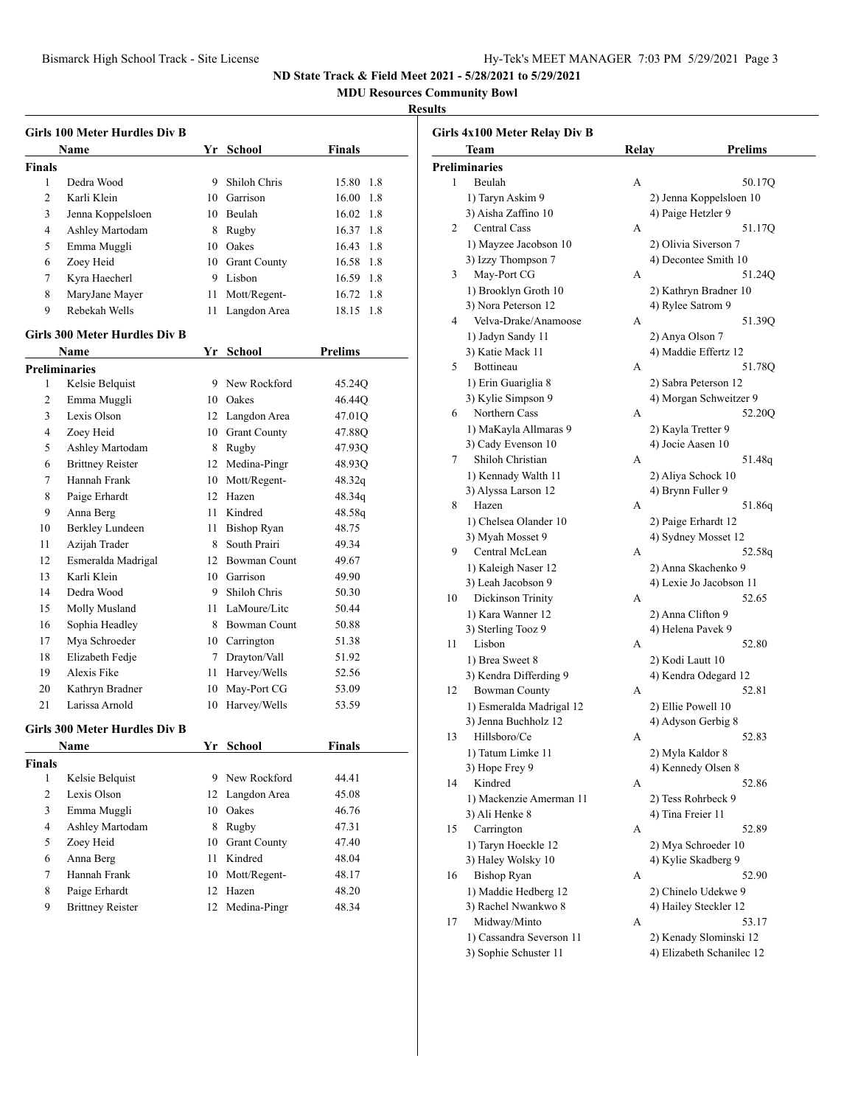**MDU Resources Community Bowl**

# **Results**

|                | Girls 100 Meter Hurdles Div B        |      |                     |              |
|----------------|--------------------------------------|------|---------------------|--------------|
|                | Name                                 |      | Yr School           | Finals       |
| Finals         |                                      |      |                     |              |
| 1              | Dedra Wood                           |      | 9 Shiloh Chris      | 15.80 1.8    |
| 2              | Karli Klein                          |      | 10 Garrison         | 16.00 1.8    |
| 3              | Jenna Koppelsloen                    |      | 10 Beulah           | 16.02 1.8    |
| 4              | Ashley Martodam                      |      | 8 Rugby             | 16.37 1.8    |
| 5              | Emma Muggli                          |      | 10 Oakes            | 16.43 1.8    |
| 6              | Zoey Heid                            |      | 10 Grant County     | 16.58 1.8    |
| 7              | Kyra Haecherl                        |      | 9 Lisbon            | 16.59 1.8    |
| 8              | MaryJane Mayer                       | 11   | Mott/Regent-        | 16.72 1.8    |
| 9              | Rebekah Wells                        | 11   | Langdon Area        | 18.15<br>1.8 |
|                | Girls 300 Meter Hurdles Div B        |      |                     |              |
|                | Name                                 |      | Yr School           | Prelims      |
|                | <b>Preliminaries</b>                 |      |                     |              |
| 1              | Kelsie Belquist                      |      | 9 New Rockford      | 45.24Q       |
| 2              | Emma Muggli                          |      | 10 Oakes            | 46.44Q       |
| 3              | Lexis Olson                          |      | 12 Langdon Area     | 47.01Q       |
| 4              | Zoey Heid                            |      | 10 Grant County     | 47.88O       |
| 5              | Ashley Martodam                      |      | 8 Rugby             | 47.93Q       |
| 6              | <b>Brittney Reister</b>              |      | 12 Medina-Pingr     | 48.93Q       |
| 7              | Hannah Frank                         |      | 10 Mott/Regent-     | 48.32q       |
| 8              | Paige Erhardt                        |      | 12 Hazen            | 48.34q       |
| 9              | Anna Berg                            |      | 11 Kindred          | 48.58q       |
| 10             | Berkley Lundeen                      | 11 - | Bishop Ryan         | 48.75        |
| 11             | Azijah Trader                        |      | 8 South Prairi      | 49.34        |
| 12             | Esmeralda Madrigal                   |      | 12 Bowman Count     | 49.67        |
| 13             | Karli Klein                          |      | 10 Garrison         | 49.90        |
| 14             | Dedra Wood                           |      | 9 Shiloh Chris      | 50.30        |
| 15             | Molly Musland                        |      | 11 LaMoure/Litc     | 50.44        |
| 16             | Sophia Headley                       |      | 8 Bowman Count      | 50.88        |
| 17             | Mya Schroeder                        |      | 10 Carrington       | 51.38        |
| 18             | Elizabeth Fedje                      |      | 7 Drayton/Vall      | 51.92        |
| 19             | Alexis Fike                          | 11   | Harvey/Wells        | 52.56        |
| 20             | Kathryn Bradner                      | 10   | May-Port CG         | 53.09        |
| 21             | Larissa Arnold                       | 10   | Harvey/Wells        | 53.59        |
|                | <b>Girls 300 Meter Hurdles Div B</b> |      |                     |              |
|                | Name                                 |      | Yr School           | Finals       |
| Finals         |                                      |      |                     |              |
| 1              | Kelsie Belquist                      |      | 9 New Rockford      | 44.41        |
| 2              | Lexis Olson                          |      | 12 Langdon Area     | 45.08        |
| 3              | Emma Muggli                          |      | 10 Oakes            | 46.76        |
| $\overline{4}$ | Ashley Martodam                      |      | 8 Rugby             | 47.31        |
| 5              | Zoey Heid                            | 10   | <b>Grant County</b> | 47.40        |
| 6              | Anna Berg                            | 11   | Kindred             | 48.04        |
| 7              | Hannah Frank                         | 10   | Mott/Regent-        | 48.17        |
| 8              | Paige Erhardt                        | 12   | Hazen               | 48.20        |
| 9              | <b>Brittney Reister</b>              | 12   | Medina-Pingr        | 48.34        |
|                |                                      |      |                     |              |

|    | Girls 4x100 Meter Relay Div B                    |       |                                          |
|----|--------------------------------------------------|-------|------------------------------------------|
|    | Team                                             | Relay | Prelims                                  |
|    | <b>Preliminaries</b>                             |       |                                          |
| 1  | Beulah                                           | А     | 50.17Q                                   |
|    | 1) Taryn Askim 9                                 |       | 2) Jenna Koppelsloen 10                  |
|    | 3) Aisha Zaffino 10                              |       | 4) Paige Hetzler 9                       |
| 2  | <b>Central Cass</b>                              | А     | 51.17Q                                   |
|    | 1) Mayzee Jacobson 10                            |       | 2) Olivia Siverson 7                     |
|    | 3) Izzy Thompson 7                               |       | 4) Decontee Smith 10                     |
| 3  | May-Port CG                                      | А     | 51.24Q                                   |
|    | 1) Brooklyn Groth 10                             |       | 2) Kathryn Bradner 10                    |
|    | 3) Nora Peterson 12                              |       | 4) Rylee Satrom 9                        |
| 4  | Velva-Drake/Anamoose                             | А     | 51.39Q                                   |
|    | 1) Jadyn Sandy 11                                |       | 2) Anya Olson 7                          |
|    | 3) Katie Mack 11                                 |       | 4) Maddie Effertz 12                     |
| 5  | Bottineau                                        | А     | 51.78Q                                   |
|    | 1) Erin Guariglia 8                              |       | 2) Sabra Peterson 12                     |
|    | 3) Kylie Simpson 9                               |       | 4) Morgan Schweitzer 9                   |
| 6  | Northern Cass                                    | А     | 52.20Q                                   |
|    | 1) MaKayla Allmaras 9                            |       | 2) Kayla Tretter 9                       |
|    | 3) Cady Evenson 10                               |       | 4) Jocie Aasen 10                        |
| 7  | Shiloh Christian                                 | А     | 51.48q                                   |
|    | 1) Kennady Walth 11                              |       | 2) Aliya Schock 10                       |
|    | 3) Alyssa Larson 12                              |       | 4) Brynn Fuller 9                        |
| 8  | Hazen                                            | А     | 51.86q                                   |
|    | 1) Chelsea Olander 10                            |       | 2) Paige Erhardt 12                      |
|    | 3) Myah Mosset 9                                 |       | 4) Sydney Mosset 12                      |
| 9  | Central McLean                                   | А     | 52.58q                                   |
|    | 1) Kaleigh Naser 12                              |       | 2) Anna Skachenko 9                      |
|    | 3) Leah Jacobson 9                               |       | 4) Lexie Jo Jacobson 11                  |
| 10 | Dickinson Trinity                                | А     | 52.65                                    |
|    | 1) Kara Wanner 12                                |       | 2) Anna Clifton 9                        |
|    | 3) Sterling Tooz 9                               |       | 4) Helena Pavek 9                        |
| 11 | Lisbon                                           | А     | 52.80                                    |
|    | 1) Brea Sweet 8                                  |       | 2) Kodi Lautt 10                         |
|    | 3) Kendra Differding 9                           |       | 4) Kendra Odegard 12                     |
| 12 | <b>Bowman County</b>                             | А     | 52.81                                    |
|    |                                                  |       |                                          |
|    | 1) Esmeralda Madrigal 12<br>3) Jenna Buchholz 12 |       | 2) Ellie Powell 10<br>4) Adyson Gerbig 8 |
| 13 | Hillsboro/Ce                                     | А     | 52.83                                    |
|    |                                                  |       |                                          |
|    | 1) Tatum Limke 11<br>3) Hope Frey 9              |       | 2) Myla Kaldor 8<br>4) Kennedy Olsen 8   |
| 14 | Kindred                                          | А     | 52.86                                    |
|    |                                                  |       |                                          |
|    | 1) Mackenzie Amerman 11                          |       | 2) Tess Rohrbeck 9                       |
|    | 3) Ali Henke 8                                   |       | 4) Tina Freier 11                        |
| 15 | Carrington                                       | А     | 52.89                                    |
|    | 1) Taryn Hoeckle 12                              |       | 2) Mya Schroeder 10                      |
|    | 3) Haley Wolsky 10                               |       | 4) Kylie Skadberg 9                      |
| 16 | <b>Bishop Ryan</b>                               | А     | 52.90                                    |
|    | 1) Maddie Hedberg 12                             |       | 2) Chinelo Udekwe 9                      |
|    | 3) Rachel Nwankwo 8                              |       | 4) Hailey Steckler 12                    |
| 17 | Midway/Minto                                     | А     | 53.17                                    |
|    | 1) Cassandra Severson 11                         |       | 2) Kenady Slominski 12                   |
|    | 3) Sophie Schuster 11                            |       | 4) Elizabeth Schanilec 12                |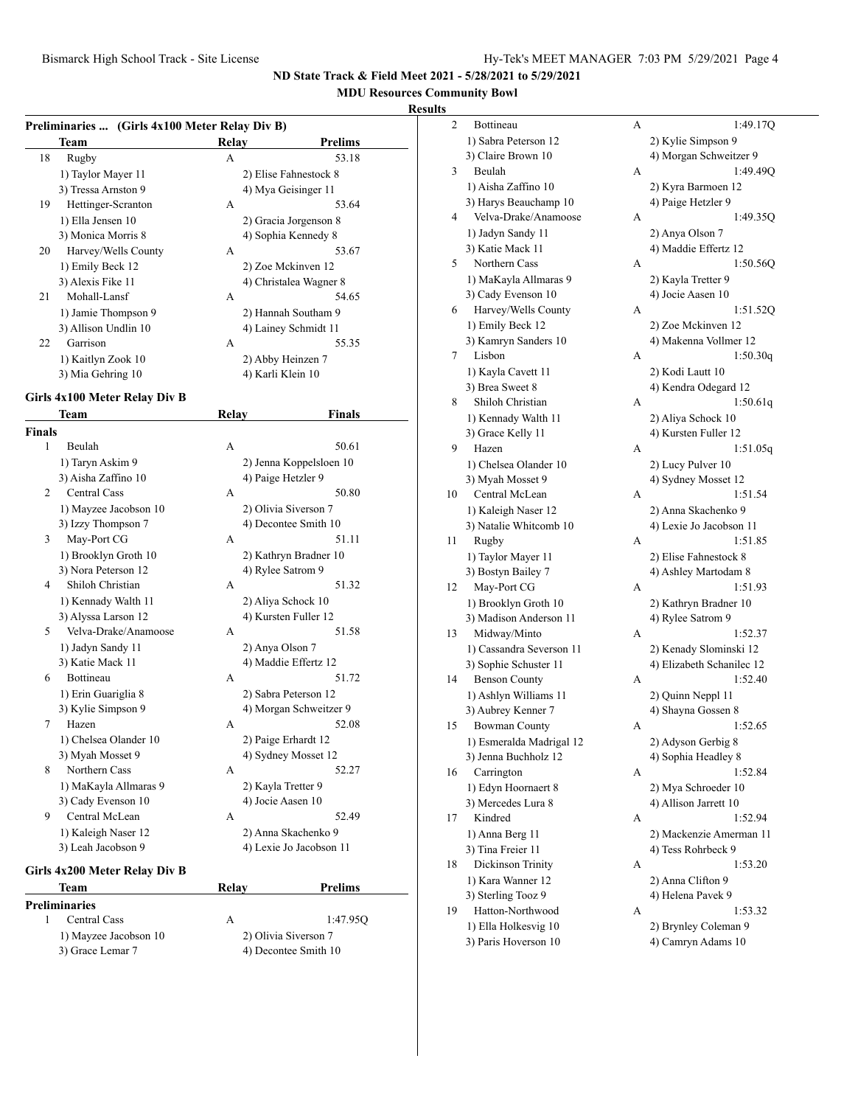# **MDU Resources Community Bowl Results**<br> **Results**<br>
<sup>2</sup>

|    | Team                 | Relav             | Prelims                |
|----|----------------------|-------------------|------------------------|
| 18 | Rugby                | A                 | 53.18                  |
|    | 1) Taylor Mayer 11   |                   | 2) Elise Fahnestock 8  |
|    | 3) Tressa Arnston 9  |                   | 4) Mya Geisinger 11    |
| 19 | Hettinger-Scranton   | A                 | 53.64                  |
|    | 1) Ella Jensen 10    |                   | 2) Gracia Jorgenson 8  |
|    | 3) Monica Morris 8   |                   | 4) Sophia Kennedy 8    |
| 20 | Harvey/Wells County  | A                 | 53.67                  |
|    | 1) Emily Beck 12     |                   | 2) Zoe Mckinven 12     |
|    | 3) Alexis Fike 11    |                   | 4) Christalea Wagner 8 |
| 21 | Mohall-Lansf         | A                 | 54.65                  |
|    | 1) Jamie Thompson 9  |                   | 2) Hannah Southam 9    |
|    | 3) Allison Undlin 10 |                   | 4) Lainey Schmidt 11   |
| 22 | Garrison             | A                 | 55.35                  |
|    | 1) Kaitlyn Zook 10   |                   | 2) Abby Heinzen 7      |
|    | 3) Mia Gehring 10    | 4) Karli Klein 10 |                        |

# **Girls 4x100 Meter Relay Div B**

|                | Team                          | Relay | Finals                  |
|----------------|-------------------------------|-------|-------------------------|
| <b>Finals</b>  |                               |       |                         |
| 1              | Beulah                        | A     | 50.61                   |
|                | 1) Taryn Askim 9              |       | 2) Jenna Koppelsloen 10 |
|                | 3) Aisha Zaffino 10           |       | 4) Paige Hetzler 9      |
| $\overline{c}$ | <b>Central Cass</b>           | A     | 50.80                   |
|                | 1) Mayzee Jacobson 10         |       | 2) Olivia Siverson 7    |
|                | 3) Izzy Thompson 7            |       | 4) Decontee Smith 10    |
| 3              | May-Port CG                   | А     | 51.11                   |
|                | 1) Brooklyn Groth 10          |       | 2) Kathryn Bradner 10   |
|                | 3) Nora Peterson 12           |       | 4) Rylee Satrom 9       |
| 4              | Shiloh Christian              | A     | 51.32                   |
|                | 1) Kennady Walth 11           |       | 2) Aliya Schock 10      |
|                | 3) Alyssa Larson 12           |       | 4) Kursten Fuller 12    |
| 5              | Velva-Drake/Anamoose          | A     | 51.58                   |
|                | 1) Jadyn Sandy 11             |       | 2) Anya Olson 7         |
|                | 3) Katie Mack 11              |       | 4) Maddie Effertz 12    |
| 6              | <b>Bottineau</b>              | A     | 51.72                   |
|                | 1) Erin Guariglia 8           |       | 2) Sabra Peterson 12    |
|                | 3) Kylie Simpson 9            |       | 4) Morgan Schweitzer 9  |
| 7              | Hazen                         | A     | 52.08                   |
|                | 1) Chelsea Olander 10         |       | 2) Paige Erhardt 12     |
|                | 3) Myah Mosset 9              |       | 4) Sydney Mosset 12     |
| 8              | Northern Cass                 | A     | 52.27                   |
|                | 1) MaKayla Allmaras 9         |       | 2) Kayla Tretter 9      |
|                | 3) Cady Evenson 10            |       | 4) Jocie Aasen 10       |
| 9              | Central McLean                | A     | 52.49                   |
|                | 1) Kaleigh Naser 12           |       | 2) Anna Skachenko 9     |
|                | 3) Leah Jacobson 9            |       | 4) Lexie Jo Jacobson 11 |
|                | Girls 4x200 Meter Relay Div B |       |                         |

| Team                  | Relav | Prelims              |
|-----------------------|-------|----------------------|
| Preliminaries         |       |                      |
| Central Cass          | А     | 1:47.95Q             |
| 1) Mayzee Jacobson 10 |       | 2) Olivia Siverson 7 |
| 3) Grace Lemar 7      |       | 4) Decontee Smith 10 |
|                       |       |                      |

| 2  | Bottineau                | А | 1:49.17Q                  |
|----|--------------------------|---|---------------------------|
|    | 1) Sabra Peterson 12     |   | 2) Kylie Simpson 9        |
|    | 3) Claire Brown 10       |   | 4) Morgan Schweitzer 9    |
| 3  | Beulah                   | А | 1:49.49Q                  |
|    | 1) Aisha Zaffino 10      |   | 2) Kyra Barmoen 12        |
|    | 3) Harys Beauchamp 10    |   | 4) Paige Hetzler 9        |
| 4  | Velva-Drake/Anamoose     | А | 1:49.35Q                  |
|    | 1) Jadyn Sandy 11        |   | 2) Anya Olson 7           |
|    | 3) Katie Mack 11         |   | 4) Maddie Effertz 12      |
| 5  | Northern Cass            | А | 1:50.56Q                  |
|    | 1) MaKayla Allmaras 9    |   | 2) Kayla Tretter 9        |
|    | 3) Cady Evenson 10       |   | 4) Jocie Aasen 10         |
| 6  | Harvey/Wells County      | А | 1:51.52Q                  |
|    | 1) Emily Beck 12         |   | 2) Zoe Mckinven 12        |
|    | 3) Kamryn Sanders 10     |   | 4) Makenna Vollmer 12     |
| 7  | Lisbon                   | А | 1:50.30q                  |
|    | 1) Kayla Cavett 11       |   | 2) Kodi Lautt 10          |
|    | 3) Brea Sweet 8          |   | 4) Kendra Odegard 12      |
| 8  | Shiloh Christian         | А | 1:50.61q                  |
|    | 1) Kennady Walth 11      |   | 2) Aliya Schock 10        |
|    | 3) Grace Kelly 11        |   | 4) Kursten Fuller 12      |
| 9  | Hazen                    | А | 1:51.05q                  |
|    | 1) Chelsea Olander 10    |   | 2) Lucy Pulver 10         |
|    | 3) Myah Mosset 9         |   | 4) Sydney Mosset 12       |
| 10 | Central McLean           | А | 1:51.54                   |
|    | 1) Kaleigh Naser 12      |   | 2) Anna Skachenko 9       |
|    | 3) Natalie Whitcomb 10   |   | 4) Lexie Jo Jacobson 11   |
| 11 | Rugby                    | А | 1:51.85                   |
|    | 1) Taylor Mayer 11       |   | 2) Elise Fahnestock 8     |
|    | 3) Bostyn Bailey 7       |   | 4) Ashley Martodam 8      |
| 12 | May-Port CG              | А | 1:51.93                   |
|    | 1) Brooklyn Groth 10     |   | 2) Kathryn Bradner 10     |
|    | 3) Madison Anderson 11   |   | 4) Rylee Satrom 9         |
| 13 | Midway/Minto             | А | 1:52.37                   |
|    | 1) Cassandra Severson 11 |   | 2) Kenady Slominski 12    |
|    | 3) Sophie Schuster 11    |   | 4) Elizabeth Schanilec 12 |
| 14 | <b>Benson County</b>     | А | 1:52.40                   |
|    | 1) Ashlyn Williams 11    |   | 2) Quinn Neppl 11         |
|    | 3) Aubrey Kenner 7       |   | 4) Shayna Gossen 8        |
| 15 | <b>Bowman County</b>     | А | 1:52.65                   |
|    | 1) Esmeralda Madrigal 12 |   | 2) Adyson Gerbig 8        |
|    | 3) Jenna Buchholz 12     |   | 4) Sophia Headley 8       |
| 16 | Carrington               | А | 1:52.84                   |
|    | 1) Edyn Hoornaert 8      |   | 2) Mya Schroeder 10       |
|    | 3) Mercedes Lura 8       |   | 4) Allison Jarrett 10     |
| 17 | Kindred                  | А | 1:52.94                   |
|    | 1) Anna Berg 11          |   | 2) Mackenzie Amerman 11   |
|    | 3) Tina Freier 11        |   | 4) Tess Rohrbeck 9        |
| 18 | Dickinson Trinity        | А | 1:53.20                   |
|    | 1) Kara Wanner 12        |   | 2) Anna Clifton 9         |
|    | 3) Sterling Tooz 9       |   | 4) Helena Pavek 9         |
| 19 | Hatton-Northwood         | A | 1:53.32                   |
|    |                          |   |                           |
|    | 1) Ella Holkesvig 10     |   | 2) Brynley Coleman 9      |
|    | 3) Paris Hoverson 10     |   | 4) Camryn Adams 10        |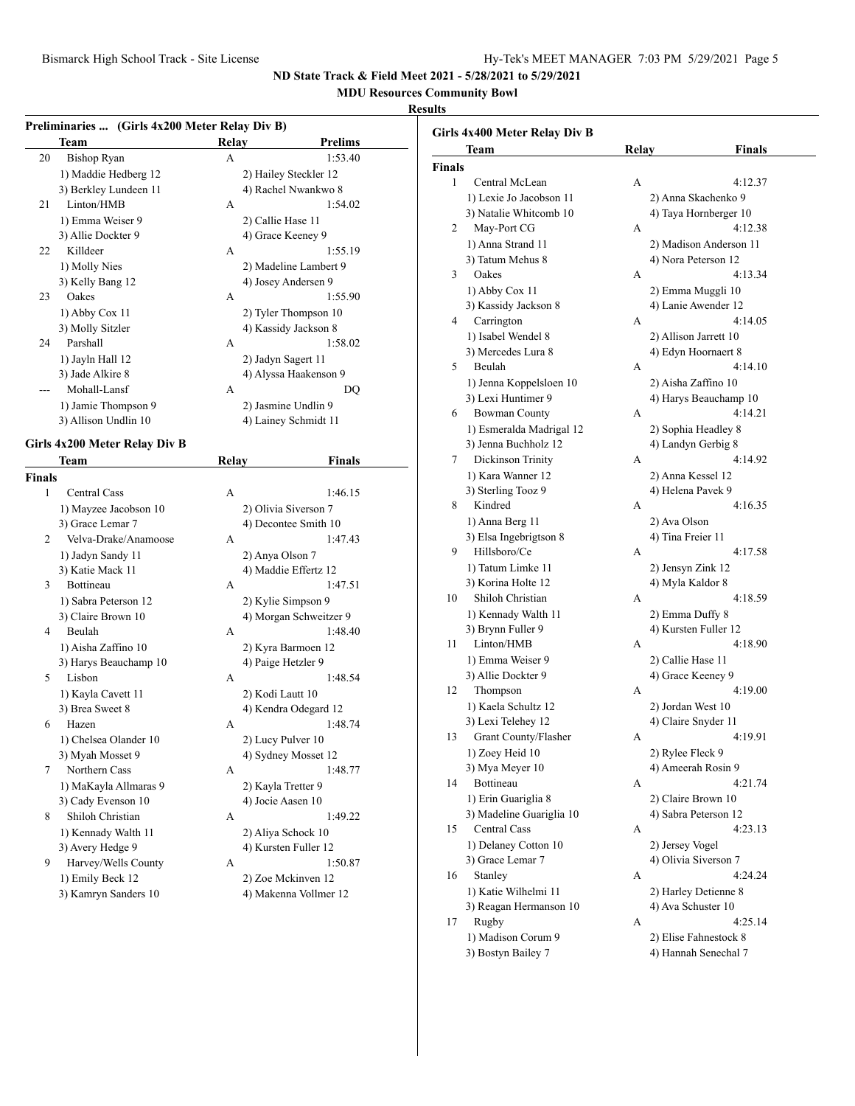# **MDU Resources Community Bowl**

# **Results**

|               | Preliminaries  (Girls 4x200 Meter Relay Div B) |              |                        |
|---------------|------------------------------------------------|--------------|------------------------|
|               | <b>Team</b>                                    | <b>Relay</b> | <b>Prelims</b>         |
| 20            | <b>Bishop Ryan</b>                             | A            | 1:53.40                |
|               | 1) Maddie Hedberg 12                           |              | 2) Hailey Steckler 12  |
|               | 3) Berkley Lundeen 11                          |              | 4) Rachel Nwankwo 8    |
| 21            | Linton/HMB                                     | A            | 1:54.02                |
|               | 1) Emma Weiser 9                               |              | 2) Callie Hase 11      |
|               | 3) Allie Dockter 9                             |              | 4) Grace Keeney 9      |
| 22            | Killdeer                                       | A            | 1:55.19                |
|               | 1) Molly Nies                                  |              | 2) Madeline Lambert 9  |
|               | 3) Kelly Bang 12                               |              | 4) Josey Andersen 9    |
| 23            | Oakes                                          | A            | 1:55.90                |
|               | 1) Abby Cox 11                                 |              | 2) Tyler Thompson 10   |
|               | 3) Molly Sitzler                               |              | 4) Kassidy Jackson 8   |
| 24            | Parshall                                       | A            | 1:58.02                |
|               | 1) Jayln Hall 12                               |              | 2) Jadyn Sagert 11     |
|               | 3) Jade Alkire 8                               |              | 4) Alyssa Haakenson 9  |
| ---           | Mohall-Lansf                                   | A            | DO                     |
|               | 1) Jamie Thompson 9                            |              | 2) Jasmine Undlin 9    |
|               | 3) Allison Undlin 10                           |              | 4) Lainey Schmidt 11   |
|               | Girls 4x200 Meter Relay Div B                  |              |                        |
|               | Team                                           | Relay        | Finals                 |
| <b>Finals</b> |                                                |              |                        |
| 1             | <b>Central Cass</b>                            | А            | 1:46.15                |
|               | 1) Mayzee Jacobson 10                          |              | 2) Olivia Siverson 7   |
|               | 3) Grace Lemar 7                               |              | 4) Decontee Smith 10   |
| 2             | Velva-Drake/Anamoose                           | A            | 1:47.43                |
|               | 1) Jadyn Sandy 11                              |              | 2) Anya Olson 7        |
|               | 3) Katie Mack 11                               |              | 4) Maddie Effertz 12   |
| 3             | Bottineau                                      | A            | 1:47.51                |
|               | 1) Sabra Peterson 12                           |              | 2) Kylie Simpson 9     |
|               | 3) Claire Brown 10                             |              | 4) Morgan Schweitzer 9 |
| 4             | Beulah                                         | A            | 1:48.40                |
|               | 1) Aisha Zaffino 10                            |              | 2) Kyra Barmoen 12     |
|               | 3) Harys Beauchamp 10                          |              | 4) Paige Hetzler 9     |
| 5             | Lisbon                                         | A            | 1:48.54                |
|               | 1) Kayla Cavett 11                             |              | 2) Kodi Lautt 10       |
|               | 3) Brea Sweet 8                                |              | 4) Kendra Odegard 12   |
| 6             | Hazen                                          | А            | 1:48.74                |
|               | 1) Chelsea Olander 10                          |              | 2) Lucy Pulver 10      |
|               | 3) Myah Mosset 9                               |              | 4) Sydney Mosset 12    |
| 7             | Northern Cass                                  | А            | 1:48.77                |
|               | 1) MaKayla Allmaras 9                          |              | 2) Kayla Tretter 9     |
|               | 3) Cady Evenson 10                             |              | 4) Jocie Aasen 10      |
| 8             | Shiloh Christian                               | А            | 1:49.22                |
|               | 1) Kennady Walth 11                            |              | 2) Aliya Schock 10     |
|               | 3) Avery Hedge 9                               |              | 4) Kursten Fuller 12   |
| 9             | Harvey/Wells County                            | А            | 1:50.87                |
|               | 1) Emily Beck 12                               |              | 2) Zoe Mckinven 12     |
|               | 3) Kamryn Sanders 10                           |              | 4) Makenna Vollmer 12  |
|               |                                                |              |                        |

|        | Girls 4x400 Meter Relay Div B   |       |                                         |
|--------|---------------------------------|-------|-----------------------------------------|
|        | Team                            | Relay | Finals                                  |
| Finals |                                 |       |                                         |
| 1      | Central McLean                  | А     | 4:12.37                                 |
|        | 1) Lexie Jo Jacobson 11         |       | 2) Anna Skachenko 9                     |
|        | 3) Natalie Whitcomb 10          |       | 4) Taya Hornberger 10                   |
| 2      | May-Port CG                     | А     | 4:12.38                                 |
|        | 1) Anna Strand 11               |       | 2) Madison Anderson 11                  |
|        | 3) Tatum Mehus 8                |       | 4) Nora Peterson 12                     |
| 3      | Oakes                           | А     | 4:13.34                                 |
|        | 1) Abby Cox 11                  |       | 2) Emma Muggli 10                       |
|        | 3) Kassidy Jackson 8            |       | 4) Lanie Awender 12                     |
| 4      | Carrington                      | А     | 4:14.05                                 |
|        | 1) Isabel Wendel 8              |       | 2) Allison Jarrett 10                   |
|        | 3) Mercedes Lura 8              |       | 4) Edyn Hoornaert 8                     |
| 5      | Beulah                          | А     | 4:14.10                                 |
|        | 1) Jenna Koppelsloen 10         |       | 2) Aisha Zaffino 10                     |
|        | 3) Lexi Huntimer 9              |       | 4) Harys Beauchamp 10                   |
| 6      | <b>Bowman County</b>            | А     | 4:14.21                                 |
|        | 1) Esmeralda Madrigal 12        |       | 2) Sophia Headley 8                     |
|        | 3) Jenna Buchholz 12            |       | 4) Landyn Gerbig 8                      |
| 7      | Dickinson Trinity               | A     | 4:14.92                                 |
|        | 1) Kara Wanner 12               |       | 2) Anna Kessel 12                       |
|        | 3) Sterling Tooz 9              |       | 4) Helena Pavek 9                       |
| 8      | Kindred                         | A     | 4:16.35                                 |
|        | 1) Anna Berg 11                 |       | 2) Ava Olson                            |
|        | 3) Elsa Ingebrigtson 8          |       | 4) Tina Freier 11                       |
| 9      | Hillsboro/Ce                    | A     | 4:17.58                                 |
|        | 1) Tatum Limke 11               |       | 2) Jensyn Zink 12                       |
|        | 3) Korina Holte 12              |       | 4) Myla Kaldor 8                        |
| 10     | Shiloh Christian                | A     | 4:18.59                                 |
|        |                                 |       |                                         |
|        | 1) Kennady Walth 11             |       | 2) Emma Duffy 8<br>4) Kursten Fuller 12 |
| 11     | 3) Brynn Fuller 9<br>Linton/HMB | A     |                                         |
|        |                                 |       | 4:18.90                                 |
|        | 1) Emma Weiser 9                |       | 2) Callie Hase 11                       |
|        | 3) Allie Dockter 9              |       | 4) Grace Keeney 9                       |
| 12     | Thompson                        | A     | 4:19.00                                 |
|        | 1) Kaela Schultz 12             |       | 2) Jordan West 10                       |
|        | 3) Lexi Telehey 12              |       | 4) Claire Snyder 11                     |
| 13     | Grant County/Flasher            | А     | 4:19.91                                 |
|        | 1) Zoey Heid 10                 |       | 2) Rylee Fleck 9                        |
|        | 3) Mya Meyer 10                 |       | 4) Ameerah Rosin 9                      |
| 14     | Bottineau                       | A     | 4:21.74                                 |
|        | 1) Erin Guariglia 8             |       | 2) Claire Brown 10                      |
|        | 3) Madeline Guariglia 10        |       | 4) Sabra Peterson 12                    |
| 15     | <b>Central Cass</b>             | А     | 4:23.13                                 |
|        | 1) Delaney Cotton 10            |       | 2) Jersey Vogel                         |
|        | 3) Grace Lemar 7                |       | 4) Olivia Siverson 7                    |
| 16     | Stanley                         | А     | 4:24.24                                 |
|        | 1) Katie Wilhelmi 11            |       | 2) Harley Detienne 8                    |
|        | 3) Reagan Hermanson 10          |       | 4) Ava Schuster 10                      |
| 17     | Rugby                           | А     | 4:25.14                                 |
|        | 1) Madison Corum 9              |       | 2) Elise Fahnestock 8                   |
|        | 3) Bostyn Bailey 7              |       | 4) Hannah Senechal 7                    |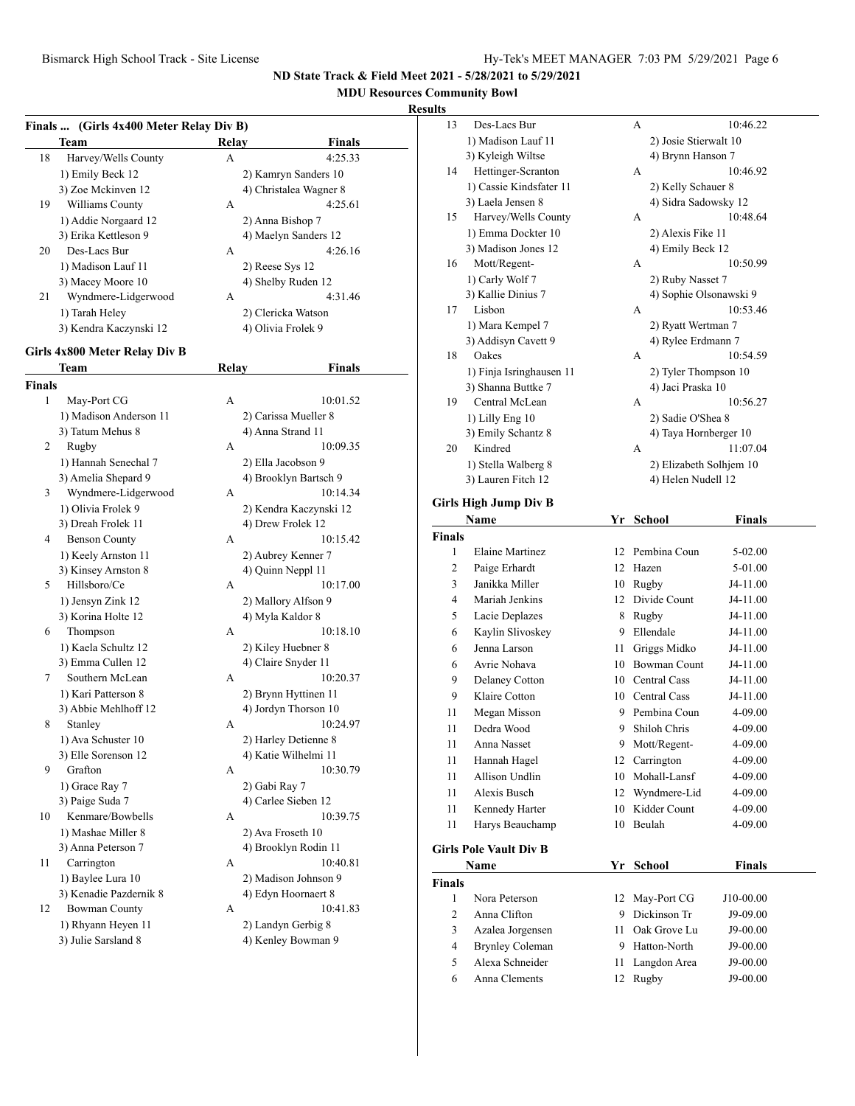# **MDU Resources Community Bowl**

# **Results**

|               | Finals  (Girls 4x400 Meter Relay Div B) |       |                                 |
|---------------|-----------------------------------------|-------|---------------------------------|
|               | <b>Team</b>                             | Relay | <b>Finals</b>                   |
| 18            | Harvey/Wells County                     | А     | 4:25.33                         |
|               | 1) Emily Beck 12                        |       | 2) Kamryn Sanders 10            |
|               | 3) Zoe Mckinven 12                      |       | 4) Christalea Wagner 8          |
| 19            | Williams County                         | А     | 4:25.61                         |
|               | 1) Addie Norgaard 12                    |       | 2) Anna Bishop 7                |
|               | 3) Erika Kettleson 9                    |       | 4) Maelyn Sanders 12            |
| 20            | Des-Lacs Bur                            | А     | 4:26.16                         |
|               | 1) Madison Lauf 11                      |       | 2) Reese Sys 12                 |
|               | 3) Macey Moore 10                       |       | 4) Shelby Ruden 12              |
| 21            | Wyndmere-Lidgerwood                     | А     | 4:31.46                         |
|               | 1) Tarah Heley                          |       | 2) Clericka Watson              |
|               | 3) Kendra Kaczynski 12                  |       | 4) Olivia Frolek 9              |
|               |                                         |       |                                 |
|               | Girls 4x800 Meter Relay Div B           |       |                                 |
|               | Team                                    | Relay | Finals                          |
| <b>Finals</b> |                                         |       |                                 |
| 1             | May-Port CG                             | А     | 10:01.52                        |
|               | 1) Madison Anderson 11                  |       | 2) Carissa Mueller 8            |
|               | 3) Tatum Mehus 8                        |       | 4) Anna Strand 11               |
| 2             | Rugby                                   | А     | 10:09.35                        |
|               | 1) Hannah Senechal 7                    |       | 2) Ella Jacobson 9              |
|               | 3) Amelia Shepard 9                     |       | 4) Brooklyn Bartsch 9           |
| 3             | Wyndmere-Lidgerwood                     | А     | 10:14.34                        |
|               | 1) Olivia Frolek 9                      |       | 2) Kendra Kaczynski 12          |
|               | 3) Dreah Frolek 11                      |       | 4) Drew Frolek 12               |
| 4             | <b>Benson County</b>                    | А     | 10:15.42                        |
|               | 1) Keely Arnston 11                     |       | 2) Aubrey Kenner 7              |
|               | 3) Kinsey Arnston 8<br>Hillsboro/Ce     |       | 4) Quinn Neppl 11               |
| 5             |                                         | А     | 10:17.00                        |
|               | 1) Jensyn Zink 12                       |       | 2) Mallory Alfson 9             |
| 6             | 3) Korina Holte 12                      | А     | 4) Myla Kaldor 8<br>10:18.10    |
|               | Thompson                                |       |                                 |
|               | 1) Kaela Schultz 12                     |       | 2) Kiley Huebner 8              |
| 7             | 3) Emma Cullen 12<br>Southern McLean    | А     | 4) Claire Snyder 11<br>10:20.37 |
|               | 1) Kari Patterson 8                     |       | 2) Brynn Hyttinen 11            |
|               | 3) Abbie Mehlhoff 12                    |       | 4) Jordyn Thorson 10            |
| 8             | Stanley                                 | А     | 10:24.97                        |
|               | 1) Ava Schuster 10                      |       | 2) Harley Detienne 8            |
|               | 3) Elle Sorenson 12                     |       | 4) Katie Wilhelmi 11            |
| 9.            | Grafton                                 | А     | 10:30.79                        |
|               | 1) Grace Ray 7                          |       | 2) Gabi Ray 7                   |
|               | 3) Paige Suda 7                         |       | 4) Carlee Sieben 12             |
| 10            | Kenmare/Bowbells                        | А     | 10:39.75                        |
|               | 1) Mashae Miller 8                      |       | 2) Ava Froseth 10               |
|               | 3) Anna Peterson 7                      |       | 4) Brooklyn Rodin 11            |
| 11            | Carrington                              | А     | 10:40.81                        |
|               | 1) Baylee Lura 10                       |       | 2) Madison Johnson 9            |
|               | 3) Kenadie Pazdernik 8                  |       | 4) Edyn Hoornaert 8             |
| 12            | <b>Bowman County</b>                    | А     | 10:41.83                        |
|               | 1) Rhyann Heyen 11                      |       | 2) Landyn Gerbig 8              |
|               | 3) Julie Sarsland 8                     |       | 4) Kenley Bowman 9              |
|               |                                         |       |                                 |

| սււծ           |                                                |      |                                           |               |  |
|----------------|------------------------------------------------|------|-------------------------------------------|---------------|--|
| 13             | Des-Lacs Bur                                   |      | А                                         | 10:46.22      |  |
|                | 1) Madison Lauf 11                             |      | 2) Josie Stierwalt 10                     |               |  |
|                | 3) Kyleigh Wiltse                              |      | 4) Brynn Hanson 7                         |               |  |
| 14             | Hettinger-Scranton                             |      | А                                         | 10:46.92      |  |
|                | 1) Cassie Kindsfater 11                        |      | 2) Kelly Schauer 8                        |               |  |
|                | 3) Laela Jensen 8                              |      | 4) Sidra Sadowsky 12                      |               |  |
| 15             | Harvey/Wells County                            |      | А                                         | 10:48.64      |  |
|                | 1) Emma Dockter 10                             |      | 2) Alexis Fike 11                         |               |  |
|                | 3) Madison Jones 12                            |      | 4) Emily Beck 12                          |               |  |
| 16             | Mott/Regent-                                   |      | А                                         | 10:50.99      |  |
|                | 1) Carly Wolf 7                                |      | 2) Ruby Nasset 7                          |               |  |
|                | 3) Kallie Dinius 7                             |      | 4) Sophie Olsonawski 9                    |               |  |
| 17             | Lisbon                                         |      | А                                         | 10:53.46      |  |
|                | 1) Mara Kempel 7                               |      | 2) Ryatt Wertman 7                        |               |  |
|                | 3) Addisyn Cavett 9                            |      | 4) Rylee Erdmann 7                        |               |  |
| 18             | Oakes                                          |      | А                                         | 10:54.59      |  |
|                |                                                |      |                                           |               |  |
|                | 1) Finja Isringhausen 11<br>3) Shanna Buttke 7 |      | 2) Tyler Thompson 10<br>4) Jaci Praska 10 |               |  |
|                |                                                |      |                                           |               |  |
| 19             | Central McLean                                 |      | A                                         | 10:56.27      |  |
|                | 1) Lilly Eng 10                                |      | 2) Sadie O'Shea 8                         |               |  |
| 20             | 3) Emily Schantz 8<br>Kindred                  |      | 4) Taya Hornberger 10<br>A                |               |  |
|                |                                                |      |                                           | 11:07.04      |  |
|                | 1) Stella Walberg 8                            |      | 2) Elizabeth Solhjem 10                   |               |  |
|                | 3) Lauren Fitch 12                             |      | 4) Helen Nudell 12                        |               |  |
|                | Girls High Jump Div B                          |      |                                           |               |  |
|                | Name                                           |      | Yr School                                 | <b>Finals</b> |  |
| <b>Finals</b>  |                                                |      |                                           |               |  |
| 1              | <b>Elaine Martinez</b>                         |      | 12 Pembina Coun                           | 5-02.00       |  |
| 2              | Paige Erhardt                                  |      | 12 Hazen                                  | 5-01.00       |  |
| 3              | Janikka Miller                                 |      | 10 Rugby                                  | J4-11.00      |  |
| 4              | Mariah Jenkins                                 |      | 12 Divide Count                           | J4-11.00      |  |
|                |                                                |      |                                           |               |  |
| 5              | Lacie Deplazes<br>Kaylin Slivoskey             | 8    | Rugby                                     | J4-11.00      |  |
| 6              |                                                |      | 9 Ellendale                               | J4-11.00      |  |
| 6              | Jenna Larson                                   | 11 - | Griggs Midko                              | J4-11.00      |  |
| 6              | Avrie Nohava                                   |      | 10 Bowman Count                           | J4-11.00      |  |
| 9              | Delaney Cotton                                 |      | 10 Central Cass                           | J4-11.00      |  |
| 9              | Klaire Cotton                                  |      | 10 Central Cass                           | J4-11.00      |  |
| 11             | Megan Misson                                   |      | 9 Pembina Coun                            | 4-09.00       |  |
| 11             | Dedra Wood                                     | 9    | Shiloh Chris                              | 4-09.00       |  |
| 11             | Anna Nasset                                    | 9    | Mott/Regent-                              | 4-09.00       |  |
| 11             | Hannah Hagel                                   | 12   | Carrington                                | 4-09.00       |  |
| 11             | Allison Undlin                                 |      | 10 Mohall-Lansf                           | 4-09.00       |  |
| 11             | Alexis Busch                                   | 12   | Wyndmere-Lid                              | 4-09.00       |  |
| 11             | Kennedy Harter                                 | 10   | Kidder Count                              | 4-09.00       |  |
| 11             | Harys Beauchamp                                | 10   | Beulah                                    | 4-09.00       |  |
|                |                                                |      |                                           |               |  |
|                | <b>Girls Pole Vault Div B</b>                  |      |                                           |               |  |
| Name           |                                                | Yr   | School                                    | Finals        |  |
| <b>Finals</b>  |                                                |      |                                           |               |  |
| 1              | Nora Peterson                                  | 12   | May-Port CG                               | J10-00.00     |  |
| 2              | Anna Clifton                                   |      | 9 Dickinson Tr                            | J9-09.00      |  |
| 3              | Azalea Jorgensen                               | 11 - | Oak Grove Lu                              | J9-00.00      |  |
| $\overline{4}$ | <b>Brynley Coleman</b>                         |      | 9 Hatton-North                            | J9-00.00      |  |
| 5              | Alexa Schneider                                | 11   | Langdon Area                              | J9-00.00      |  |
| 6              | Anna Clements                                  | 12   | Rugby                                     | J9-00.00      |  |
|                |                                                |      |                                           |               |  |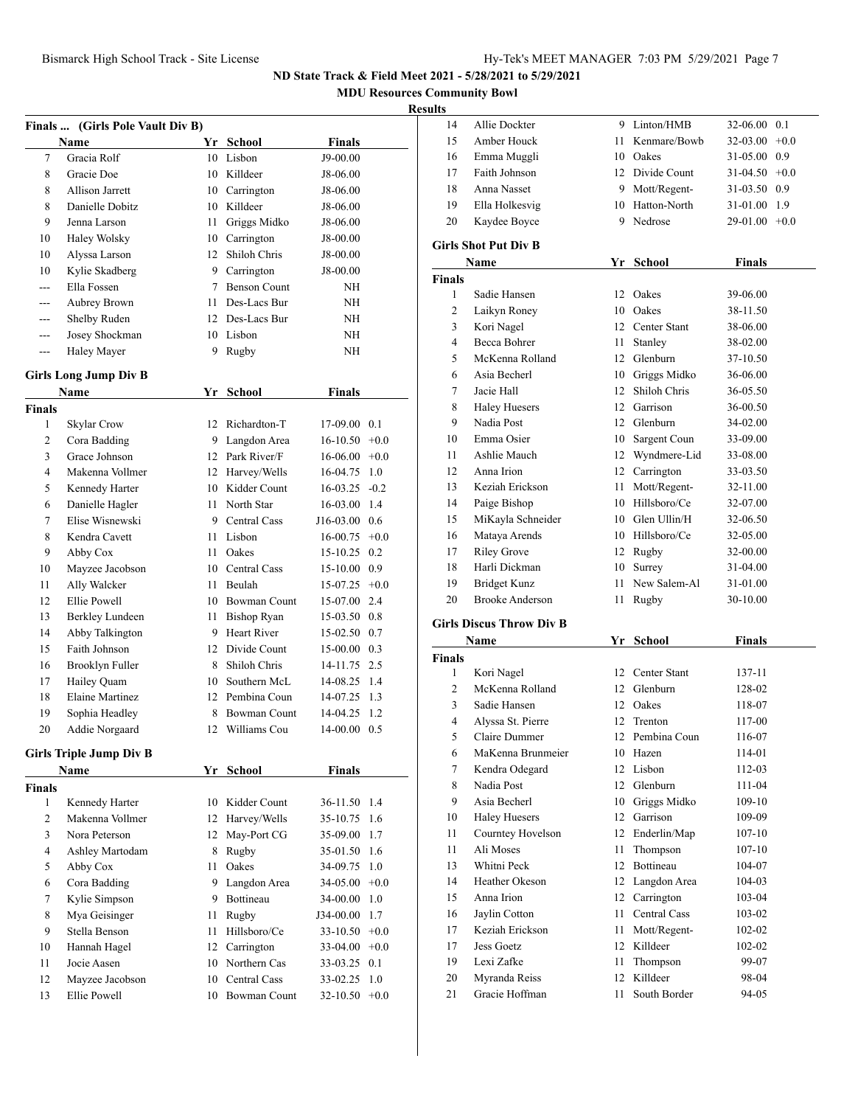**MDU Resources Community Bowl**

# **Results**

|               | Finals  (Girls Pole Vault Div B) |             |                     |                 |        |
|---------------|----------------------------------|-------------|---------------------|-----------------|--------|
|               | Name                             |             | Yr School           | Finals          |        |
| 7             | Gracia Rolf                      |             | 10 Lisbon           | J9-00.00        |        |
| 8             | Gracie Doe                       |             | 10 Killdeer         | J8-06.00        |        |
| 8             | Allison Jarrett                  |             | 10 Carrington       | J8-06.00        |        |
| 8             | Danielle Dobitz                  | 10          | Killdeer            | J8-06.00        |        |
| 9             | Jenna Larson                     | 11 -        | Griggs Midko        | J8-06.00        |        |
| 10            | Haley Wolsky                     | 10          | Carrington          | J8-00.00        |        |
| 10            | Alyssa Larson                    | 12          | Shiloh Chris        | J8-00.00        |        |
| 10            | Kylie Skadberg                   | 9           | Carrington          | J8-00.00        |        |
| $- - -$       | Ella Fossen                      | $7^{\circ}$ | <b>Benson Count</b> | NΗ              |        |
| $---$         | Aubrey Brown                     | 11.         | Des-Lacs Bur        | NΗ              |        |
| $---$         | Shelby Ruden                     |             | 12 Des-Lacs Bur     | NΗ              |        |
| $---$         | Josey Shockman                   |             | 10 Lisbon           | NΗ              |        |
| ---           | Haley Mayer                      | 9           | Rugby               | NH              |        |
|               | <b>Girls Long Jump Div B</b>     |             |                     |                 |        |
|               | <b>Name</b>                      | Yr          | <b>School</b>       | <b>Finals</b>   |        |
| <b>Finals</b> |                                  |             |                     |                 |        |
| 1             | Skylar Crow                      | 12          | Richardton-T        | 17-09.00        | 0.1    |
| 2             | Cora Badding                     | 9           | Langdon Area        | $16 - 10.50$    | $+0.0$ |
| 3             | Grace Johnson                    |             | 12 Park River/F     | $16-06.00$      | $+0.0$ |
| 4             | Makenna Vollmer                  |             | 12 Harvey/Wells     | 16-04.75        | 1.0    |
| 5             | Kennedy Harter                   |             | 10 Kidder Count     | 16-03.25        | $-0.2$ |
| 6             | Danielle Hagler                  | 11 -        | North Star          | 16-03.00 1.4    |        |
| 7             | Elise Wisnewski                  |             | 9 Central Cass      | $J16-03.00$ 0.6 |        |
| 8             | Kendra Cavett                    | 11 -        | Lisbon              | $16-00.75$ +0.0 |        |
| 9             | Abby Cox                         | 11 -        | Oakes               | 15-10.25        | 0.2    |
| 10            | Mayzee Jacobson                  |             | 10 Central Cass     | 15-10.00 0.9    |        |
| 11            | Ally Walcker                     | 11 -        | Beulah              | $15-07.25 +0.0$ |        |
| 12            | Ellie Powell                     |             | 10 Bowman Count     | 15-07.00 2.4    |        |
| 13            | Berkley Lundeen                  | 11 -        | <b>Bishop Ryan</b>  | 15-03.50        | 0.8    |
| 14            | Abby Talkington                  |             | 9 Heart River       | $15-02.50$ 0.7  |        |
| 15            | Faith Johnson                    |             | 12 Divide Count     | $15-00.00$ 0.3  |        |
| 16            | Brooklyn Fuller                  | 8           | Shiloh Chris        | 14-11.75        | 2.5    |
| 17            | Hailey Quam                      | 10          | Southern McL        | 14-08.25        | 1.4    |
| 18            | <b>Elaine Martinez</b>           | 12          | Pembina Coun        | 14-07.25        | 1.3    |
| 19            | Sophia Headley                   | 8           | <b>Bowman Count</b> | 14-04.25        | 1.2    |
| 20            | Addie Norgaard                   | 12          | Williams Cou        | 14-00.00 0.5    |        |
|               | <b>Girls Triple Jump Div B</b>   |             |                     |                 |        |
|               | Name                             |             | Yr School           | <b>Finals</b>   |        |
| <b>Finals</b> |                                  |             |                     |                 |        |
| 1             | Kennedy Harter                   |             | 10 Kidder Count     | 36-11.50        | 1.4    |
| 2             | Makenna Vollmer                  | 12          | Harvey/Wells        | 35-10.75        | 1.6    |
| 3             | Nora Peterson                    | 12          | May-Port CG         | 35-09.00        | 1.7    |
| 4             | Ashley Martodam                  | 8.          | Rugby               | 35-01.50        | 1.6    |
| 5             | Abby Cox                         | 11          | Oakes               | 34-09.75        | 1.0    |
| 6             | Cora Badding                     | 9           | Langdon Area        | 34-05.00        | $+0.0$ |
| 7             | Kylie Simpson                    |             | 9 Bottineau         | 34-00.00        | 1.0    |
| 8             | Mya Geisinger                    | 11 -        | Rugby               | J34-00.00       | 1.7    |
| 9             | Stella Benson                    | 11-         | Hillsboro/Ce        | 33-10.50        | $+0.0$ |
| 10            | Hannah Hagel                     | 12          | Carrington          | $33-04.00 +0.0$ |        |
| 11            | Jocie Aasen                      |             | 10 Northern Cas     | 33-03.25        | 0.1    |
| 12            | Mayzee Jacobson                  |             | 10 Central Cass     | 33-02.25        | 1.0    |
| 13            | Ellie Powell                     | 10          | <b>Bowman Count</b> | $32-10.50 +0.0$ |        |
|               |                                  |             |                     |                 |        |

| 14            | Allie Dockter                      | 9    | Linton/HMB                       | 32-06.00             | 0.1    |
|---------------|------------------------------------|------|----------------------------------|----------------------|--------|
| 15            | Amber Houck                        | 11 - | Kenmare/Bowb                     | 32-03.00             | $+0.0$ |
| 16            | Emma Muggli                        |      | 10 Oakes                         | 31-05.00 0.9         |        |
| 17            | Faith Johnson                      |      | 12 Divide Count                  | $31-04.50 +0.0$      |        |
| 18            | Anna Nasset                        |      | 9 Mott/Regent-                   | 31-03.50 0.9         |        |
| 19            | Ella Holkesvig                     |      | 10 Hatton-North                  | 31-01.00 1.9         |        |
| 20            | Kaydee Boyce                       |      | 9 Nedrose                        | 29-01.00             | $+0.0$ |
|               |                                    |      |                                  |                      |        |
|               | <b>Girls Shot Put Div B</b>        |      |                                  |                      |        |
|               | Name                               | Yr   | School                           | <b>Finals</b>        |        |
| Finals<br>1   |                                    |      | Oakes                            |                      |        |
| 2             | Sadie Hansen                       | 12   | 10 Oakes                         | 39-06.00<br>38-11.50 |        |
| 3             | Laikyn Roney<br>Kori Nagel         |      | 12 Center Stant                  | 38-06.00             |        |
| 4             | Becca Bohrer                       | 11 - |                                  |                      |        |
| 5             | McKenna Rolland                    |      | Stanley<br>12 Glenburn           | 38-02.00             |        |
| 6             | Asia Becherl                       |      | 10 Griggs Midko                  | 37-10.50<br>36-06.00 |        |
| 7             | Jacie Hall                         |      | 12 Shiloh Chris                  | 36-05.50             |        |
| 8             |                                    |      | 12 Garrison                      | 36-00.50             |        |
|               | <b>Haley Huesers</b><br>Nadia Post |      |                                  |                      |        |
| 9             | Emma Osier                         |      | 12 Glenburn<br>10 Sargent Coun   | 34-02.00             |        |
| 10<br>11      | Ashlie Mauch                       |      |                                  | 33-09.00             |        |
| 12            | Anna Irion                         |      | 12 Wyndmere-Lid<br>12 Carrington | 33-08.00             |        |
|               |                                    |      |                                  | 33-03.50             |        |
| 13            | Keziah Erickson                    | 11 - | Mott/Regent-<br>10 Hillsboro/Ce  | 32-11.00             |        |
| 14            | Paige Bishop                       |      | 10 Glen Ullin/H                  | 32-07.00             |        |
| 15            | MiKayla Schneider                  |      |                                  | 32-06.50             |        |
| 16            | Mataya Arends                      |      | 10 Hillsboro/Ce                  | 32-05.00             |        |
| 17            | <b>Riley Grove</b>                 |      | 12 Rugby                         | 32-00.00             |        |
| 18            | Harli Dickman                      |      | 10 Surrey                        | 31-04.00             |        |
| 19            | <b>Bridget Kunz</b>                | 11 - | New Salem-Al                     | 31-01.00             |        |
| 20            | <b>Brooke Anderson</b>             | 11   | Rugby                            | 30-10.00             |        |
|               | <b>Girls Discus Throw Div B</b>    |      |                                  |                      |        |
|               | Name                               | Yr   | School                           | <b>Finals</b>        |        |
| <b>Finals</b> |                                    |      |                                  |                      |        |
| 1             | Kori Nagel                         |      | 12 Center Stant                  | 137-11               |        |
| 2             | McKenna Rolland                    |      | 12 Glenburn                      | 128-02               |        |
| 3             | Sadie Hansen                       |      | 12 Oakes                         | 118-07               |        |
| 4             | Alyssa St. Pierre                  | 12   | Trenton                          | 117-00               |        |
| 5             | Claire Dummer                      |      | 12 Pembina Coun                  | 116-07               |        |
| 6             | MaKenna Brunmeier                  |      | 10 Hazen                         | 114-01               |        |
| 7             | Kendra Odegard                     | 12   | Lisbon                           | 112-03               |        |
| 8             | Nadia Post                         |      | 12 Glenburn                      | $111 - 04$           |        |
| 9             | Asia Becherl                       |      | 10 Griggs Midko                  | $109 - 10$           |        |
| 10            | <b>Haley Huesers</b>               |      | 12 Garrison                      | 109-09               |        |
| 11            | Courntey Hovelson                  |      | 12 Enderlin/Map                  | $107 - 10$           |        |
| 11            | Ali Moses                          | 11   | Thompson                         | $107 - 10$           |        |
| 13            | Whitni Peck                        | 12   | Bottineau                        | 104-07               |        |
| 14            | Heather Okeson                     | 12   | Langdon Area                     | 104-03               |        |
| 15            | Anna Irion                         | 12   | Carrington                       | 103-04               |        |
| 16            | Jaylin Cotton                      | 11 - | Central Cass                     | 103-02               |        |
| 17            | Keziah Erickson                    | 11   | Mott/Regent-                     | 102-02               |        |
| 17            | Jess Goetz                         | 12   | Killdeer                         | 102-02               |        |
| 19            | Lexi Zafke                         | 11   | Thompson                         | 99-07                |        |
|               |                                    |      |                                  |                      |        |
| 20            | Myranda Reiss                      | 12   | Killdeer                         | 98-04                |        |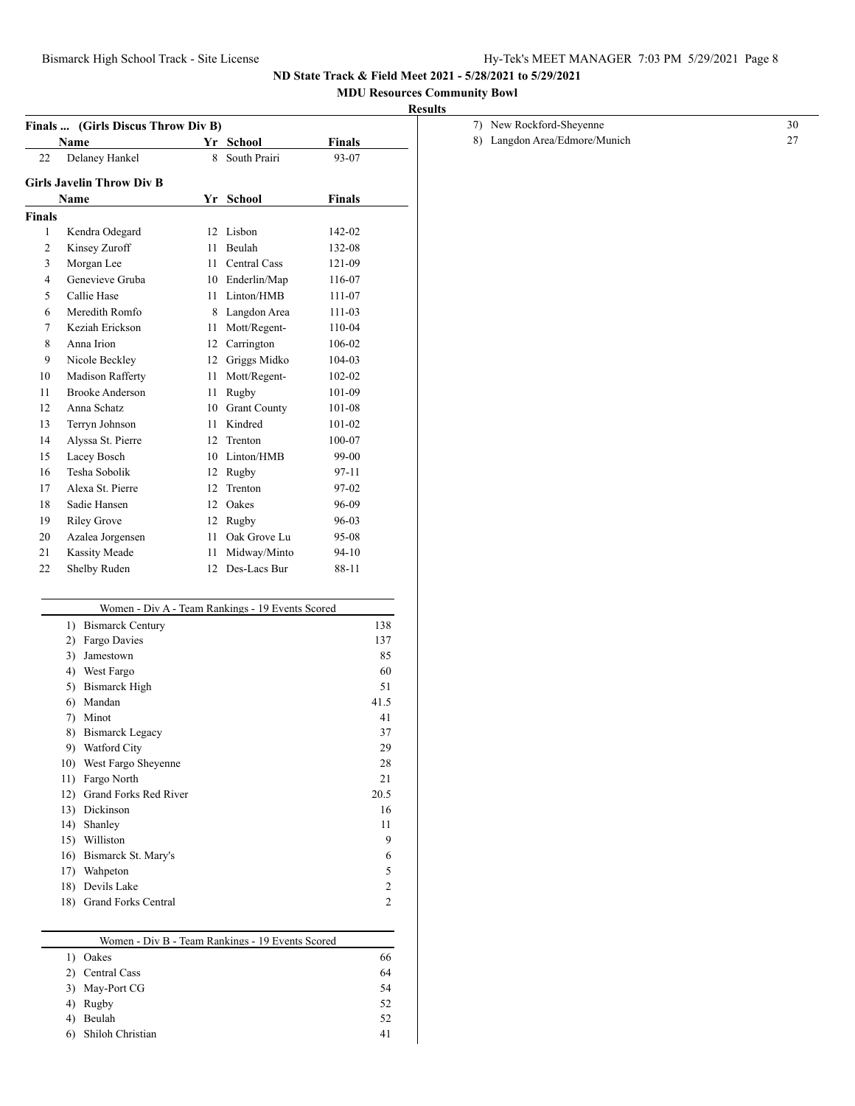## **MDU Resources Community Bowl**

# **Results**

| Finals         | (Girls Discus Throw Div B)                       |    |                 |               |      |
|----------------|--------------------------------------------------|----|-----------------|---------------|------|
|                | Name                                             |    | Yr School       | <b>Finals</b> |      |
| 22             | Delaney Hankel                                   | 8. | South Prairi    | 93-07         |      |
|                | <b>Girls Javelin Throw Div B</b>                 |    |                 |               |      |
|                | Name                                             | Yr | <b>School</b>   | Finals        |      |
| Finals         |                                                  |    |                 |               |      |
| $\mathbf{1}$   | Kendra Odegard                                   |    | 12 Lisbon       | 142-02        |      |
| $\overline{2}$ | Kinsey Zuroff                                    | 11 | Beulah          | 132-08        |      |
| 3              | Morgan Lee                                       |    | 11 Central Cass | 121-09        |      |
| 4              | Genevieve Gruba                                  |    | 10 Enderlin/Map | 116-07        |      |
| 5              | Callie Hase                                      |    | 11 Linton/HMB   | 111-07        |      |
| 6              | Meredith Romfo                                   |    | 8 Langdon Area  | 111-03        |      |
| 7              | Keziah Erickson                                  |    | 11 Mott/Regent- | 110-04        |      |
| 8              | Anna Irion                                       |    | 12 Carrington   | 106-02        |      |
| 9              | Nicole Beckley                                   |    | 12 Griggs Midko | 104-03        |      |
| 10             | Madison Rafferty                                 | 11 | Mott/Regent-    | 102-02        |      |
| 11             | <b>Brooke Anderson</b>                           | 11 | Rugby           | 101-09        |      |
| 12             | Anna Schatz                                      |    | 10 Grant County | 101-08        |      |
| 13             | Terryn Johnson                                   | 11 | Kindred         | 101-02        |      |
| 14             | Alyssa St. Pierre                                |    | 12 Trenton      | 100-07        |      |
| 15             | Lacey Bosch                                      |    | 10 Linton/HMB   | 99-00         |      |
| 16             | Tesha Sobolik                                    |    | 12 Rugby        | 97-11         |      |
| 17             | Alexa St. Pierre                                 |    | 12 Trenton      | 97-02         |      |
| 18             | Sadie Hansen                                     |    | 12 Oakes        | 96-09         |      |
| 19             | <b>Riley Grove</b>                               |    | 12 Rugby        | 96-03         |      |
| 20             | Azalea Jorgensen                                 | 11 | Oak Grove Lu    | 95-08         |      |
| 21             | <b>Kassity Meade</b>                             | 11 | Midway/Minto    | $94 - 10$     |      |
| 22             | Shelby Ruden                                     | 12 | Des-Lacs Bur    | 88-11         |      |
|                |                                                  |    |                 |               |      |
|                | Women - Div A - Team Rankings - 19 Events Scored |    |                 |               |      |
|                | 1) Bismarck Century                              |    |                 |               | 138  |
|                | 2) Fargo Davies                                  |    |                 |               | 137  |
|                | 3) Jamestown                                     |    |                 |               | 85   |
|                | 4) West Fargo                                    |    |                 |               | 60   |
|                | 5) Bismarck High                                 |    |                 |               | 51   |
|                | 6) Mandan                                        |    |                 |               | 41.5 |
|                | 7) Minot                                         |    |                 |               | 41   |
|                | 8) Bismarck Legacy                               |    |                 |               | 37   |
|                | 9) Watford City                                  |    |                 |               | 29   |
|                | 10) West Fargo Sheyenne                          |    |                 |               | 28   |

| 7) New Rockford-Sheyenne      |  |
|-------------------------------|--|
| 8) Langdon Area/Edmore/Munich |  |

| Women - Div B - Team Rankings - 19 Events Scored |    |
|--------------------------------------------------|----|
| Oakes                                            | 66 |
| Central Cass                                     | 64 |
| May-Port CG                                      | 54 |
| Rugby                                            | 52 |
| Beulah                                           | 52 |
| Shiloh Christian                                 | 41 |

11) Fargo North 21 12) Grand Forks Red River 20.5 13) Dickinson 16 14) Shanley 11 15) Williston 9 16) Bismarck St. Mary's 6 17) Wahpeton 5 18) Devils Lake 2 18) Grand Forks Central 2